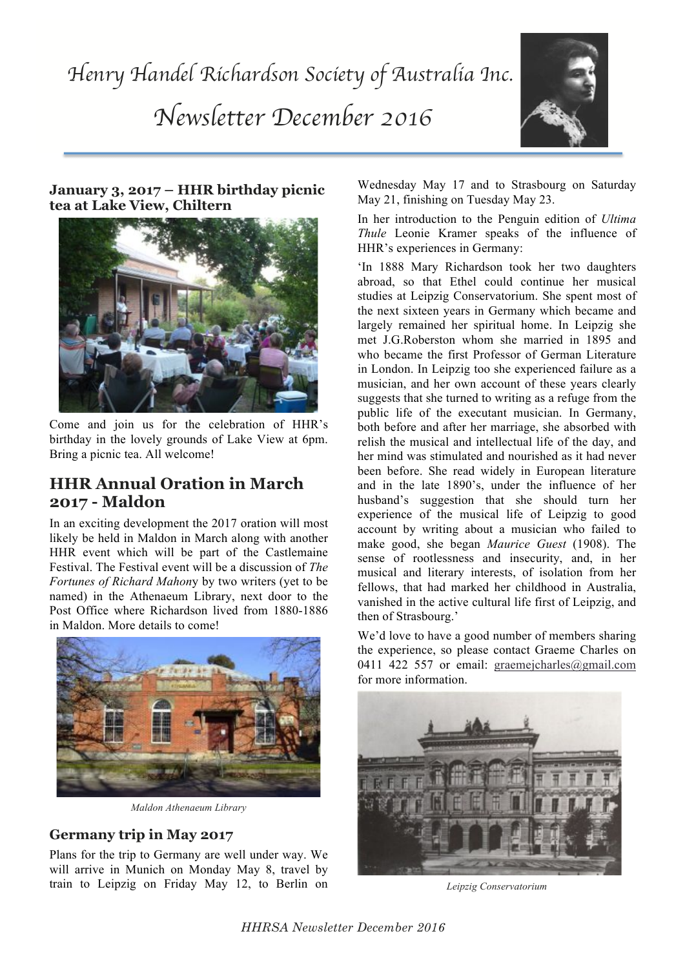

### **January 3, 2017 – HHR birthday picnic tea at Lake View, Chiltern**



Come and join us for the celebration of HHR's birthday in the lovely grounds of Lake View at 6pm. Bring a picnic tea. All welcome!

## **HHR Annual Oration in March 2017 - Maldon**

In an exciting development the 2017 oration will most likely be held in Maldon in March along with another HHR event which will be part of the Castlemaine Festival. The Festival event will be a discussion of *The Fortunes of Richard Mahon*y by two writers (yet to be named) in the Athenaeum Library, next door to the Post Office where Richardson lived from 1880-1886 in Maldon. More details to come!



*Maldon Athenaeum Library*

## **Germany trip in May 2017**

Plans for the trip to Germany are well under way. We will arrive in Munich on Monday May 8, travel by train to Leipzig on Friday May 12, to Berlin on

Wednesday May 17 and to Strasbourg on Saturday May 21, finishing on Tuesday May 23.

In her introduction to the Penguin edition of *Ultima Thule* Leonie Kramer speaks of the influence of HHR's experiences in Germany:

'In 1888 Mary Richardson took her two daughters abroad, so that Ethel could continue her musical studies at Leipzig Conservatorium. She spent most of the next sixteen years in Germany which became and largely remained her spiritual home. In Leipzig she met J.G.Roberston whom she married in 1895 and who became the first Professor of German Literature in London. In Leipzig too she experienced failure as a musician, and her own account of these years clearly suggests that she turned to writing as a refuge from the public life of the executant musician. In Germany, both before and after her marriage, she absorbed with relish the musical and intellectual life of the day, and her mind was stimulated and nourished as it had never been before. She read widely in European literature and in the late 1890's, under the influence of her husband's suggestion that she should turn her experience of the musical life of Leipzig to good account by writing about a musician who failed to make good, she began *Maurice Guest* (1908). The sense of rootlessness and insecurity, and, in her musical and literary interests, of isolation from her fellows, that had marked her childhood in Australia, vanished in the active cultural life first of Leipzig, and then of Strasbourg.'

We'd love to have a good number of members sharing the experience, so please contact Graeme Charles on 0411 422 557 or email: graemejcharles@gmail.com for more information.



*Leipzig Conservatorium*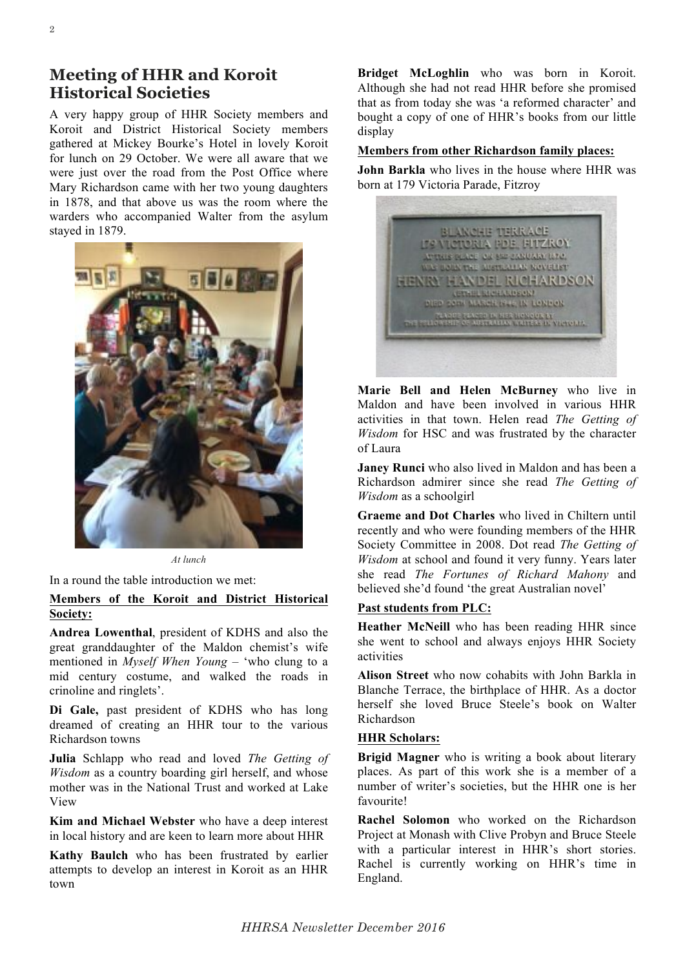## **Meeting of HHR and Koroit Historical Societies**

A very happy group of HHR Society members and Koroit and District Historical Society members gathered at Mickey Bourke's Hotel in lovely Koroit for lunch on 29 October. We were all aware that we were just over the road from the Post Office where Mary Richardson came with her two young daughters in 1878, and that above us was the room where the warders who accompanied Walter from the asylum stayed in 1879.



*At lunch*

In a round the table introduction we met:

### **Members of the Koroit and District Historical Society:**

**Andrea Lowenthal**, president of KDHS and also the great granddaughter of the Maldon chemist's wife mentioned in *Myself When Young* – 'who clung to a mid century costume, and walked the roads in crinoline and ringlets'.

**Di Gale,** past president of KDHS who has long dreamed of creating an HHR tour to the various Richardson towns

**Julia** Schlapp who read and loved *The Getting of Wisdom* as a country boarding girl herself, and whose mother was in the National Trust and worked at Lake View

**Kim and Michael Webster** who have a deep interest in local history and are keen to learn more about HHR

**Kathy Baulch** who has been frustrated by earlier attempts to develop an interest in Koroit as an HHR town

**Bridget McLoghlin** who was born in Koroit. Although she had not read HHR before she promised that as from today she was 'a reformed character' and bought a copy of one of HHR's books from our little display

#### **Members from other Richardson family places:**

**John Barkla** who lives in the house where HHR was born at 179 Victoria Parade, Fitzroy



**Marie Bell and Helen McBurney** who live in Maldon and have been involved in various HHR activities in that town. Helen read *The Getting of Wisdom* for HSC and was frustrated by the character of Laura

**Janey Runci** who also lived in Maldon and has been a Richardson admirer since she read *The Getting of Wisdom* as a schoolgirl

**Graeme and Dot Charles** who lived in Chiltern until recently and who were founding members of the HHR Society Committee in 2008. Dot read *The Getting of Wisdom* at school and found it very funny. Years later she read *The Fortunes of Richard Mahony* and believed she'd found 'the great Australian novel'

### **Past students from PLC:**

**Heather McNeill** who has been reading HHR since she went to school and always enjoys HHR Society activities

**Alison Street** who now cohabits with John Barkla in Blanche Terrace, the birthplace of HHR. As a doctor herself she loved Bruce Steele's book on Walter Richardson

#### **HHR Scholars:**

**Brigid Magner** who is writing a book about literary places. As part of this work she is a member of a number of writer's societies, but the HHR one is her favourite!

**Rachel Solomon** who worked on the Richardson Project at Monash with Clive Probyn and Bruce Steele with a particular interest in HHR's short stories. Rachel is currently working on HHR's time in England.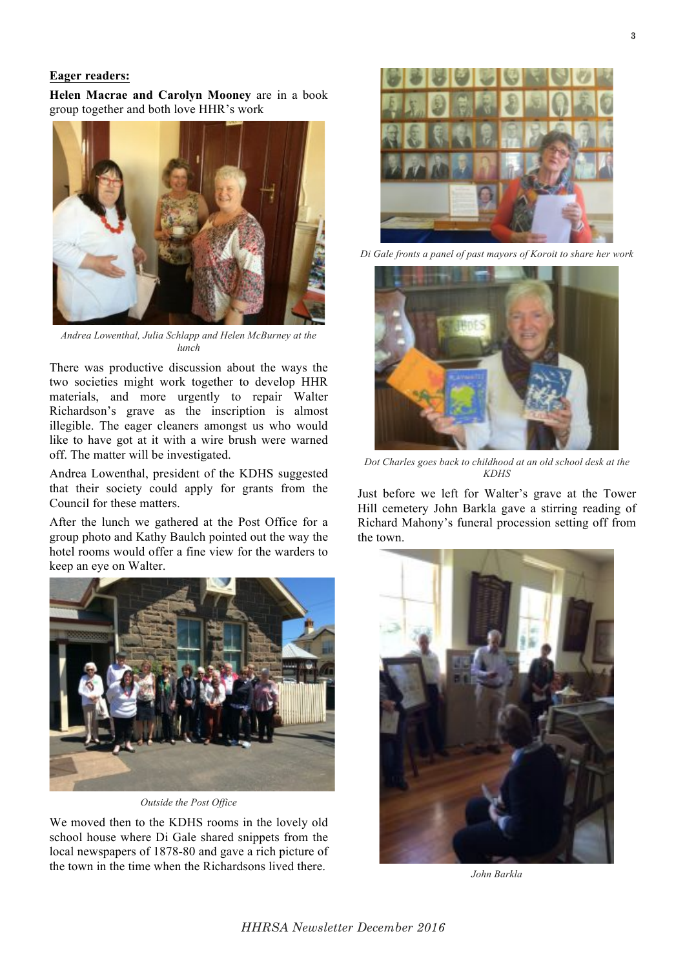#### **Eager readers:**

**Helen Macrae and Carolyn Mooney** are in a book group together and both love HHR's work



*Andrea Lowenthal, Julia Schlapp and Helen McBurney at the lunch*

There was productive discussion about the ways the two societies might work together to develop HHR materials, and more urgently to repair Walter Richardson's grave as the inscription is almost illegible. The eager cleaners amongst us who would like to have got at it with a wire brush were warned off. The matter will be investigated.

Andrea Lowenthal, president of the KDHS suggested that their society could apply for grants from the Council for these matters.

After the lunch we gathered at the Post Office for a group photo and Kathy Baulch pointed out the way the hotel rooms would offer a fine view for the warders to keep an eye on Walter.



*Outside the Post Office*

We moved then to the KDHS rooms in the lovely old school house where Di Gale shared snippets from the local newspapers of 1878-80 and gave a rich picture of the town in the time when the Richardsons lived there.



*Di Gale fronts a panel of past mayors of Koroit to share her work*



*Dot Charles goes back to childhood at an old school desk at the KDHS*

Just before we left for Walter's grave at the Tower Hill cemetery John Barkla gave a stirring reading of Richard Mahony's funeral procession setting off from the town.



*John Barkla*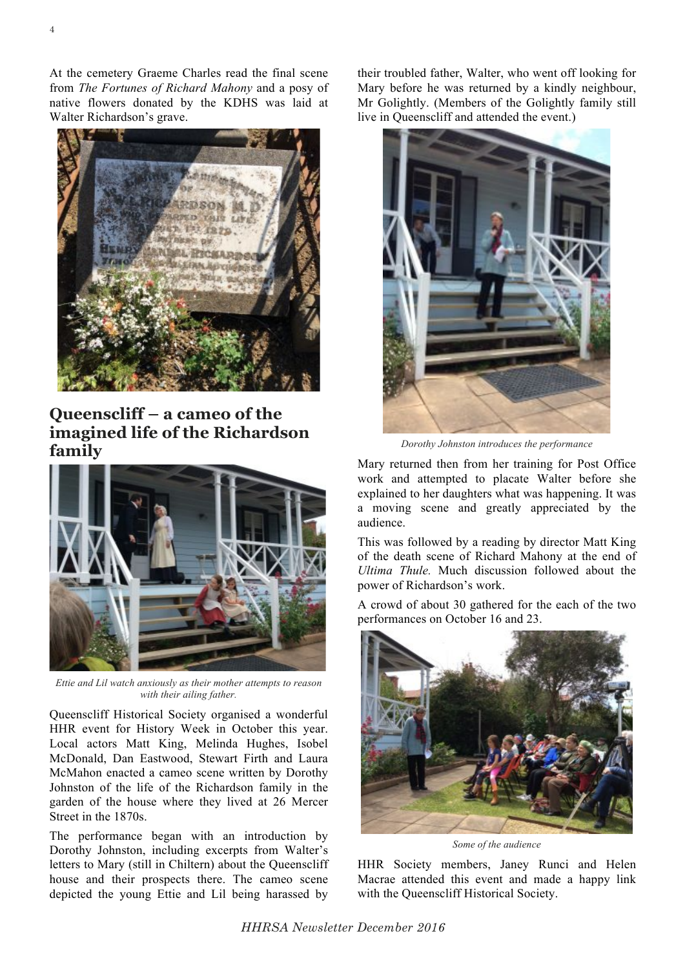At the cemetery Graeme Charles read the final scene from *The Fortunes of Richard Mahony* and a posy of native flowers donated by the KDHS was laid at Walter Richardson's grave.



**Queenscliff – a cameo of the imagined life of the Richardson family**



*Ettie and Lil watch anxiously as their mother attempts to reason with their ailing father.*

Queenscliff Historical Society organised a wonderful HHR event for History Week in October this year. Local actors Matt King, Melinda Hughes, Isobel McDonald, Dan Eastwood, Stewart Firth and Laura McMahon enacted a cameo scene written by Dorothy Johnston of the life of the Richardson family in the garden of the house where they lived at 26 Mercer Street in the 1870s.

The performance began with an introduction by Dorothy Johnston, including excerpts from Walter's letters to Mary (still in Chiltern) about the Queenscliff house and their prospects there. The cameo scene depicted the young Ettie and Lil being harassed by

their troubled father, Walter, who went off looking for Mary before he was returned by a kindly neighbour, Mr Golightly. (Members of the Golightly family still live in Queenscliff and attended the event.)



*Dorothy Johnston introduces the performance*

Mary returned then from her training for Post Office work and attempted to placate Walter before she explained to her daughters what was happening. It was a moving scene and greatly appreciated by the audience.

This was followed by a reading by director Matt King of the death scene of Richard Mahony at the end of *Ultima Thule.* Much discussion followed about the power of Richardson's work.

A crowd of about 30 gathered for the each of the two performances on October 16 and 23.



*Some of the audience*

HHR Society members, Janey Runci and Helen Macrae attended this event and made a happy link with the Queenscliff Historical Society.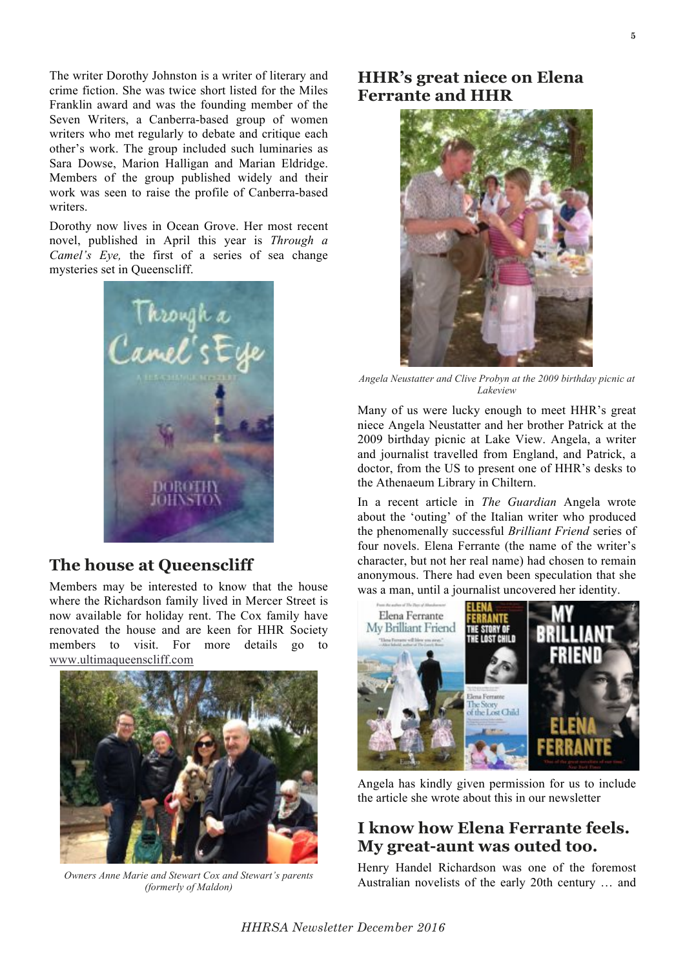The writer Dorothy Johnston is a writer of literary and crime fiction. She was twice short listed for the Miles Franklin award and was the founding member of the Seven Writers, a Canberra-based group of women writers who met regularly to debate and critique each other's work. The group included such luminaries as Sara Dowse, Marion Halligan and Marian Eldridge. Members of the group published widely and their work was seen to raise the profile of Canberra-based writers.

Dorothy now lives in Ocean Grove. Her most recent novel, published in April this year is *Through a Camel's Eye,* the first of a series of sea change mysteries set in Queenscliff.



## **The house at Queenscliff**

Members may be interested to know that the house where the Richardson family lived in Mercer Street is now available for holiday rent. The Cox family have renovated the house and are keen for HHR Society members to visit. For more details go to www.ultimaqueenscliff.com



*Owners Anne Marie and Stewart Cox and Stewart's parents (formerly of Maldon)*

## **HHR's great niece on Elena Ferrante and HHR**



*Angela Neustatter and Clive Probyn at the 2009 birthday picnic at Lakeview*

Many of us were lucky enough to meet HHR's great niece Angela Neustatter and her brother Patrick at the 2009 birthday picnic at Lake View. Angela, a writer and journalist travelled from England, and Patrick, a doctor, from the US to present one of HHR's desks to the Athenaeum Library in Chiltern.

In a recent article in *The Guardian* Angela wrote about the 'outing' of the Italian writer who produced the phenomenally successful *Brilliant Friend* series of four novels. Elena Ferrante (the name of the writer's character, but not her real name) had chosen to remain anonymous. There had even been speculation that she was a man, until a journalist uncovered her identity.



Angela has kindly given permission for us to include the article she wrote about this in our newsletter

# **I know how Elena Ferrante feels. My great-aunt was outed too.**

Henry Handel Richardson was one of the foremost Australian novelists of the early 20th century … and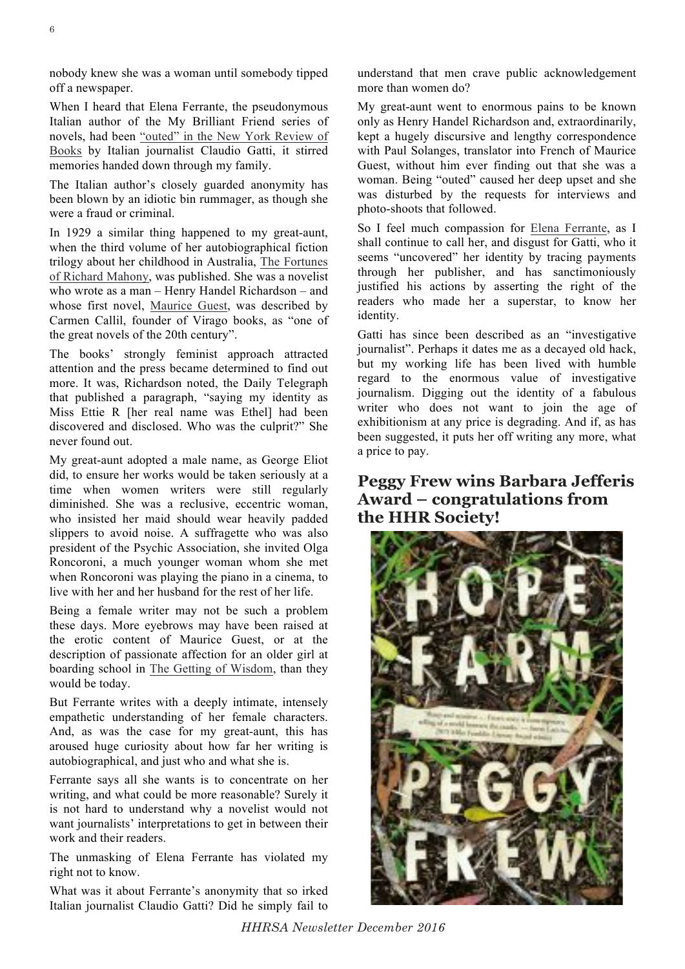nobody knew she was a woman until somebody tipped off a newspaper.

When I heard that Elena Ferrante, the pseudonymous Italian author of the My Brilliant Friend series of novels, had been "outed" in the New York Review of Books by Italian journalist Claudio Gatti, it stirred memories handed down through my family.

The Italian author's closely guarded anonymity has been blown by an idiotic bin rummager, as though she were a fraud or criminal.

In 1929 a similar thing happened to my great-aunt, when the third volume of her autobiographical fiction trilogy about her childhood in Australia, The Fortunes of Richard Mahony, was published. She was a novelist who wrote as a man – Henry Handel Richardson – and whose first novel, Maurice Guest, was described by Carmen Callil, founder of Virago books, as "one of the great novels of the 20th century".

The books' strongly feminist approach attracted attention and the press became determined to find out more. It was, Richardson noted, the Daily Telegraph that published a paragraph, "saying my identity as Miss Ettie R [her real name was Ethel] had been discovered and disclosed. Who was the culprit?" She never found out.

My great-aunt adopted a male name, as George Eliot did, to ensure her works would be taken seriously at a time when women writers were still regularly diminished. She was a reclusive, eccentric woman, who insisted her maid should wear heavily padded slippers to avoid noise. A suffragette who was also president of the Psychic Association, she invited Olga Roncoroni, a much younger woman whom she met when Roncoroni was playing the piano in a cinema, to live with her and her husband for the rest of her life.

Being a female writer may not be such a problem these days. More eyebrows may have been raised at the erotic content of Maurice Guest, or at the description of passionate affection for an older girl at boarding school in The Getting of Wisdom, than they would be today.

But Ferrante writes with a deeply intimate, intensely empathetic understanding of her female characters. And, as was the case for my great-aunt, this has aroused huge curiosity about how far her writing is autobiographical, and just who and what she is.

Ferrante says all she wants is to concentrate on her writing, and what could be more reasonable? Surely it is not hard to understand why a novelist would not want journalists' interpretations to get in between their work and their readers.

The unmasking of Elena Ferrante has violated my right not to know.

What was it about Ferrante's anonymity that so irked Italian journalist Claudio Gatti? Did he simply fail to understand that men crave public acknowledgement more than women do?

My great-aunt went to enormous pains to be known only as Henry Handel Richardson and, extraordinarily, kept a hugely discursive and lengthy correspondence with Paul Solanges, translator into French of Maurice Guest, without him ever finding out that she was a woman. Being "outed" caused her deep upset and she was disturbed by the requests for interviews and photo-shoots that followed.

So I feel much compassion for Elena Ferrante, as I shall continue to call her, and disgust for Gatti, who it seems "uncovered" her identity by tracing payments through her publisher, and has sanctimoniously justified his actions by asserting the right of the readers who made her a superstar, to know her identity.

Gatti has since been described as an "investigative journalist". Perhaps it dates me as a decayed old hack, but my working life has been lived with humble regard to the enormous value of investigative journalism. Digging out the identity of a fabulous writer who does not want to join the age of exhibitionism at any price is degrading. And if, as has been suggested, it puts her off writing any more, what a price to pay.

## **Peggy Frew wins Barbara Jefferis Award – congratulations from the HHR Society!**